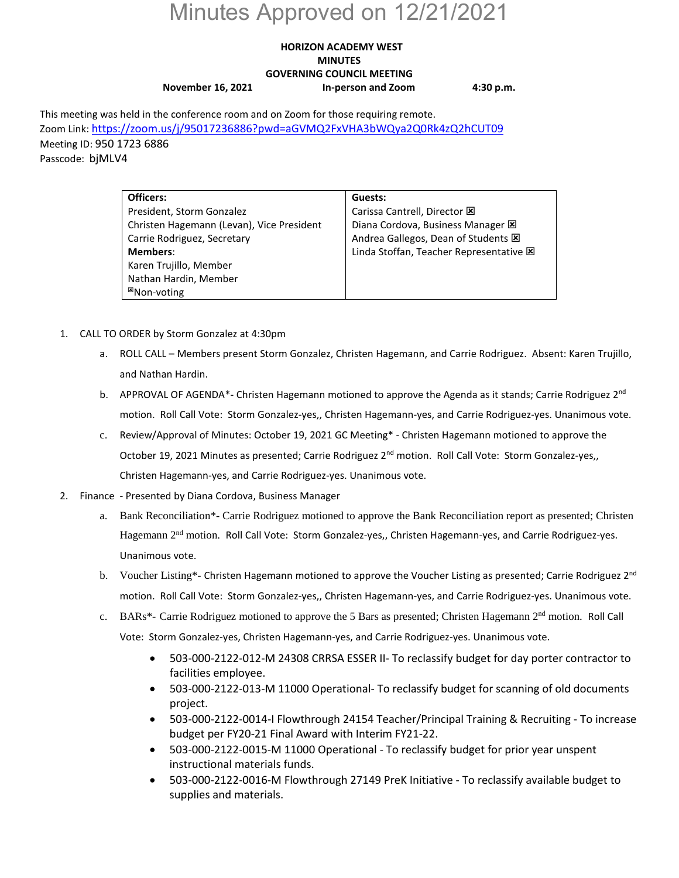# Minutes Approved on 12/21/2021

### **HORIZON ACADEMY WEST MINUTES GOVERNING COUNCIL MEETING November 16, 2021 In-person and Zoom 4:30 p.m.**

This meeting was held in the conference room and on Zoom for those requiring remote. Zoom Link[: https://zoom.us/j/95017236886?pwd=aGVMQ2FxVHA3bWQya2Q0Rk4zQ2hCUT09](https://zoom.us/j/95017236886?pwd=aGVMQ2FxVHA3bWQya2Q0Rk4zQ2hCUT09) Meeting ID: 950 1723 6886 Passcode: bjMLV4

| Officers:                                 | Guests:                                 |
|-------------------------------------------|-----------------------------------------|
| President, Storm Gonzalez                 | Carissa Cantrell, Director X            |
| Christen Hagemann (Levan), Vice President | Diana Cordova, Business Manager E       |
| Carrie Rodriguez, Secretary               | Andrea Gallegos, Dean of Students E     |
| <b>Members:</b>                           | Linda Stoffan, Teacher Representative E |
| Karen Trujillo, Member                    |                                         |
| Nathan Hardin, Member                     |                                         |
| <sup>⊠</sup> Non-voting                   |                                         |

- 1. CALL TO ORDER by Storm Gonzalez at 4:30pm
	- a. ROLL CALL Members present Storm Gonzalez, Christen Hagemann, and Carrie Rodriguez. Absent: Karen Trujillo, and Nathan Hardin.
	- b. APPROVAL OF AGENDA<sup>\*</sup>- Christen Hagemann motioned to approve the Agenda as it stands; Carrie Rodriguez 2<sup>nd</sup> motion. Roll Call Vote: Storm Gonzalez-yes,, Christen Hagemann-yes, and Carrie Rodriguez-yes. Unanimous vote.
	- c. Review/Approval of Minutes: October 19, 2021 GC Meeting\* Christen Hagemann motioned to approve the October 19, 2021 Minutes as presented; Carrie Rodriguez 2<sup>nd</sup> motion. Roll Call Vote: Storm Gonzalez-yes,, Christen Hagemann-yes, and Carrie Rodriguez-yes. Unanimous vote.
- 2. Finance Presented by Diana Cordova, Business Manager
	- a. Bank Reconciliation\*- Carrie Rodriguez motioned to approve the Bank Reconciliation report as presented; Christen Hagemann 2nd motion. Roll Call Vote: Storm Gonzalez-yes,, Christen Hagemann-yes, and Carrie Rodriguez-yes. Unanimous vote.
	- b. Voucher Listing\*- Christen Hagemann motioned to approve the Voucher Listing as presented; Carrie Rodriguez  $2^{nd}$ motion. Roll Call Vote: Storm Gonzalez-yes,, Christen Hagemann-yes, and Carrie Rodriguez-yes. Unanimous vote.
	- c. BARs\*- Carrie Rodriguez motioned to approve the 5 Bars as presented; Christen Hagemann 2<sup>nd</sup> motion. Roll Call Vote: Storm Gonzalez-yes, Christen Hagemann-yes, and Carrie Rodriguez-yes. Unanimous vote.
		- 503-000-2122-012-M 24308 CRRSA ESSER II- To reclassify budget for day porter contractor to facilities employee.
		- 503-000-2122-013-M 11000 Operational- To reclassify budget for scanning of old documents project.
		- 503-000-2122-0014-I Flowthrough 24154 Teacher/Principal Training & Recruiting To increase budget per FY20-21 Final Award with Interim FY21-22.
		- 503-000-2122-0015-M 11000 Operational To reclassify budget for prior year unspent instructional materials funds.
		- 503-000-2122-0016-M Flowthrough 27149 PreK Initiative To reclassify available budget to supplies and materials.